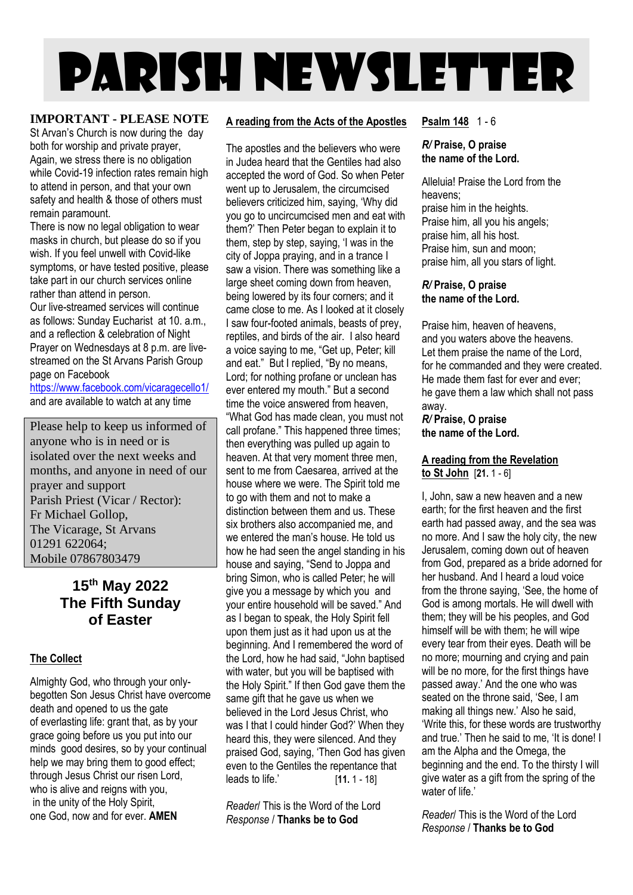# PARISH NEWSLETTER

#### **IMPORTANT - PLEASE NOTE**

St Arvan's Church is now during the day both for worship and private prayer, Again, we stress there is no obligation while Covid-19 infection rates remain high to attend in person, and that your own safety and health & those of others must remain paramount.

There is now no legal obligation to wear masks in church, but please do so if you wish. If you feel unwell with Covid-like symptoms, or have tested positive, please take part in our church services online rather than attend in person.

Our live-streamed services will continue as follows: Sunday Eucharist at 10. a.m., and a reflection & celebration of Night Prayer on Wednesdays at 8 p.m. are livestreamed on the St Arvans Parish Group page on Facebook

<https://www.facebook.com/vicaragecello1/> and are available to watch at any time

Please help to keep us informed of anyone who is in need or is isolated over the next weeks and months, and anyone in need of our prayer and support Parish Priest (Vicar / Rector): Fr Michael Gollop, The Vicarage, St Arvans 01291 622064; Mobile 07867803479

## **15th May 2022 The Fifth Sunday of Easter**

#### **The Collect**

Almighty God, who through your onlybegotten Son Jesus Christ have overcome death and opened to us the gate of everlasting life: grant that, as by your grace going before us you put into our minds good desires, so by your continual help we may bring them to good effect; through Jesus Christ our risen Lord, who is alive and reigns with you, in the unity of the Holy Spirit, one God, now and for ever. **AMEN**

#### **A reading from the Acts of the Apostles**

The apostles and the believers who were in Judea heard that the Gentiles had also accepted the word of God. So when Peter went up to Jerusalem, the circumcised believers criticized him, saying, 'Why did you go to uncircumcised men and eat with them?' Then Peter began to explain it to them, step by step, saying, 'I was in the city of Joppa praying, and in a trance I saw a vision. There was something like a large sheet coming down from heaven, being lowered by its four corners; and it came close to me. As I looked at it closely I saw four-footed animals, beasts of prey, reptiles, and birds of the air. I also heard a voice saying to me, "Get up, Peter; kill and eat." But I replied, "By no means, Lord; for nothing profane or unclean has ever entered my mouth." But a second time the voice answered from heaven "What God has made clean, you must not call profane." This happened three times; then everything was pulled up again to heaven. At that very moment three men, sent to me from Caesarea, arrived at the house where we were. The Spirit told me to go with them and not to make a distinction between them and us. These six brothers also accompanied me, and we entered the man's house. He told us how he had seen the angel standing in his house and saying, "Send to Joppa and bring Simon, who is called Peter; he will give you a message by which you and your entire household will be saved." And as I began to speak, the Holy Spirit fell upon them just as it had upon us at the beginning. And I remembered the word of the Lord, how he had said, "John baptised with water, but you will be baptised with the Holy Spirit." If then God gave them the same gift that he gave us when we believed in the Lord Jesus Christ, who was I that I could hinder God?' When they heard this, they were silenced. And they praised God, saying, 'Then God has given even to the Gentiles the repentance that leads to life.' [**11.** 1 - 18]

*Reader*/ This is the Word of the Lord *Response* / **Thanks be to God**

#### **Psalm 148** 1 - 6

#### *R/* **Praise, O praise the name of the Lord.**

Alleluia! Praise the Lord from the heavens; praise him in the heights. Praise him, all you his angels; praise him, all his host. Praise him, sun and moon; praise him, all you stars of light.

#### *R/* **Praise, O praise the name of the Lord.**

Praise him, heaven of heavens, and you waters above the heavens. Let them praise the name of the Lord, for he commanded and they were created. He made them fast for ever and ever; he gave them a law which shall not pass away.

#### *R/* **Praise, O praise the name of the Lord.**

#### **A reading from the Revelation to St John** [**21.** 1 - 6]

I, John, saw a new heaven and a new earth; for the first heaven and the first earth had passed away, and the sea was no more. And I saw the holy city, the new Jerusalem, coming down out of heaven from God, prepared as a bride adorned for her husband. And I heard a loud voice from the throne saying, 'See, the home of God is among mortals. He will dwell with them; they will be his peoples, and God himself will be with them; he will wipe every tear from their eyes. Death will be no more; mourning and crying and pain will be no more, for the first things have passed away.' And the one who was seated on the throne said, 'See, I am making all things new.' Also he said, 'Write this, for these words are trustworthy and true.' Then he said to me, 'It is done! I am the Alpha and the Omega, the beginning and the end. To the thirsty I will give water as a gift from the spring of the water of life.'

*Reader*/ This is the Word of the Lord *Response* / **Thanks be to God**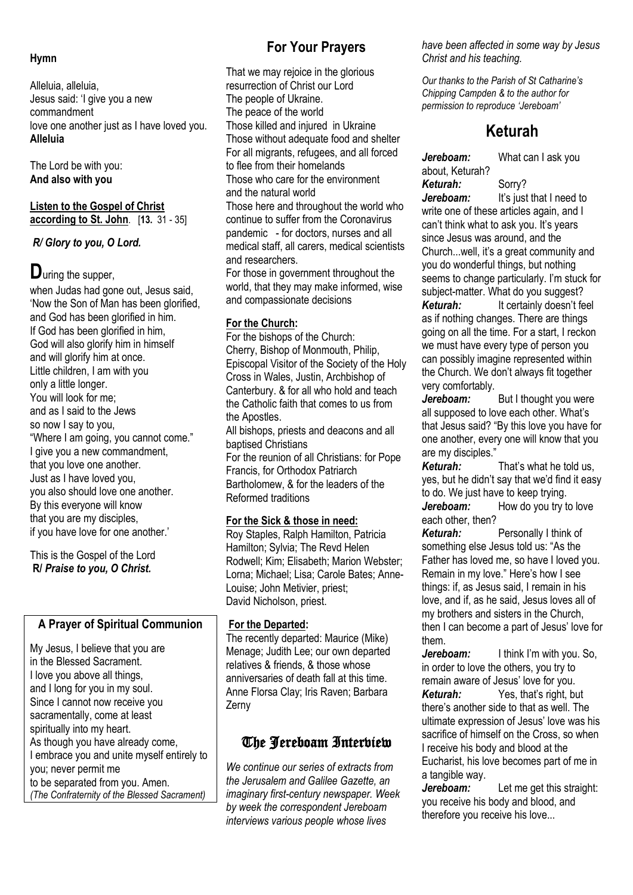#### **Hymn**

Alleluia, alleluia, Jesus said: 'I give you a new commandment love one another just as I have loved you. **Alleluia**

The Lord be with you: **And also with you**

#### **Listen to the Gospel of Christ according to St. John**. [**13.** 31 - 35]

*R/ Glory to you, O Lord.*

# **D**uring the supper,

when Judas had gone out, Jesus said, 'Now the Son of Man has been glorified, and God has been glorified in him. If God has been glorified in him, God will also glorify him in himself and will glorify him at once. Little children, I am with you only a little longer. You will look for me; and as I said to the Jews so now I say to you, "Where I am going, you cannot come." I give you a new commandment, that you love one another. Just as I have loved you, you also should love one another. By this everyone will know that you are my disciples, if you have love for one another.'

This is the Gospel of the Lord **R/** *Praise to you, O Christ.*

#### **A Prayer of Spiritual Communion**

My Jesus, I believe that you are in the Blessed Sacrament. I love you above all things, and I long for you in my soul. Since I cannot now receive you sacramentally, come at least spiritually into my heart. As though you have already come, I embrace you and unite myself entirely to you; never permit me to be separated from you. Amen. *(The Confraternity of the Blessed Sacrament)*

# **For Your Prayers**

That we may rejoice in the glorious resurrection of Christ our Lord The people of Ukraine. The peace of the world Those killed and injured in Ukraine Those without adequate food and shelter For all migrants, refugees, and all forced to flee from their homelands Those who care for the environment and the natural world Those here and throughout the world who continue to suffer from the Coronavirus pandemic - for doctors, nurses and all medical staff, all carers, medical scientists and researchers. For those in government throughout the world, that they may make informed, wise and compassionate decisions

#### **For the Church:**

For the bishops of the Church: Cherry, Bishop of Monmouth, Philip, Episcopal Visitor of the Society of the Holy Cross in Wales, Justin, Archbishop of Canterbury. & for all who hold and teach the Catholic faith that comes to us from the Apostles.

All bishops, priests and deacons and all baptised Christians

For the reunion of all Christians: for Pope Francis, for Orthodox Patriarch Bartholomew, & for the leaders of the Reformed traditions

#### **For the Sick & those in need:**

Roy Staples, Ralph Hamilton, Patricia Hamilton; Sylvia; The Revd Helen Rodwell; Kim; Elisabeth; Marion Webster; Lorna; Michael; Lisa; Carole Bates; Anne-Louise; John Metivier, priest; David Nicholson, priest.

#### **For the Departed:**

The recently departed: Maurice (Mike) Menage; Judith Lee; our own departed relatives & friends, & those whose anniversaries of death fall at this time. Anne Florsa Clay; Iris Raven; Barbara Zerny

## The Jereboam Interview

*We continue our series of extracts from the Jerusalem and Galilee Gazette, an imaginary first-century newspaper. Week by week the correspondent Jereboam interviews various people whose lives*

*have been affected in some way by Jesus Christ and his teaching.*

*Our thanks to the Parish of St Catharine's Chipping Campden & to the author for permission to reproduce 'Jereboam'*

# **Keturah**

*Jereboam:* What can I ask you about, Keturah? *Keturah:* Sorry?

*Jereboam:* It's just that I need to write one of these articles again, and I can't think what to ask you. It's years since Jesus was around, and the Church...well, it's a great community and you do wonderful things, but nothing seems to change particularly. I'm stuck for subject-matter. What do you suggest?<br>**Keturah:** lt certainly doesn't fe It certainly doesn't feel

as if nothing changes. There are things going on all the time. For a start, I reckon we must have every type of person you can possibly imagine represented within the Church. We don't always fit together very comfortably.

Jereboam: But I thought you were all supposed to love each other. What's that Jesus said? "By this love you have for one another, every one will know that you are my disciples."

*Keturah:* That's what he told us, yes, but he didn't say that we'd find it easy to do. We just have to keep trying.<br> **Jereboam:** How do you try t How do you try to love each other, then?

**Keturah:** Personally I think of something else Jesus told us: "As the Father has loved me, so have I loved you. Remain in my love." Here's how I see things: if, as Jesus said, I remain in his love, and if, as he said, Jesus loves all of my brothers and sisters in the Church, then I can become a part of Jesus' love for them.

*Jereboam:* I think I'm with you. So, in order to love the others, you try to remain aware of Jesus' love for you.

*Keturah:* Yes, that's right, but there's another side to that as well. The ultimate expression of Jesus' love was his sacrifice of himself on the Cross, so when I receive his body and blood at the Eucharist, his love becomes part of me in a tangible way.

*Jereboam:* Let me get this straight: you receive his body and blood, and therefore you receive his love...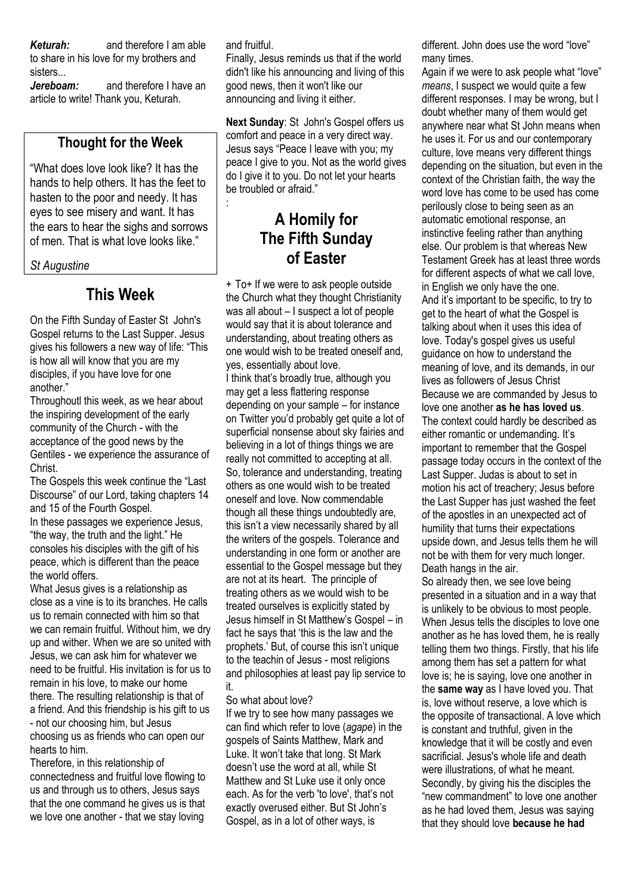#### *Keturah:* and therefore I am able

to share in his love for my brothers and sisters...

*Jereboam:* and therefore I have an article to write! Thank you, Keturah.

## **Thought for the Week**

"What does love look like? It has the hands to help others. It has the feet to hasten to the poor and needy. It has eyes to see misery and want. It has the ears to hear the sighs and sorrows of men. That is what love looks like."

*St Augustine*

# **This Week**

On the Fifth Sunday of Easter St John's Gospel returns to the Last Supper. Jesus gives his followers a new way of life: "This is how all will know that you are my disciples, if you have love for one another."

Throughoutl this week, as we hear about the inspiring development of the early community of the Church - with the acceptance of the good news by the Gentiles - we experience the assurance of Christ.

The Gospels this week continue the "Last Discourse" of our Lord, taking chapters 14 and 15 of the Fourth Gospel.

In these passages we experience Jesus, "the way, the truth and the light." He consoles his disciples with the gift of his peace, which is different than the peace the world offers.

What Jesus gives is a relationship as close as a vine is to its branches. He calls us to remain connected with him so that we can remain fruitful. Without him, we dry up and wither. When we are so united with Jesus, we can ask him for whatever we need to be fruitful. His invitation is for us to remain in his love, to make our home there. The resulting relationship is that of a friend. And this friendship is his gift to us - not our choosing him, but Jesus choosing us as friends who can open our hearts to him.

Therefore, in this relationship of connectedness and fruitful love flowing to us and through us to others, Jesus says that the one command he gives us is that we love one another - that we stay loving

and fruitful.

:

Finally, Jesus reminds us that if the world didn't like his announcing and living of this good news, then it won't like our announcing and living it either.

**Next Sunday**: St John's Gospel offers us comfort and peace in a very direct way. Jesus says "Peace I leave with you; my peace I give to you. Not as the world gives do I give it to you. Do not let your hearts be troubled or afraid."

# **A Homily for The Fifth Sunday of Easter**

+ To+ If we were to ask people outside the Church what they thought Christianity was all about – I suspect a lot of people would say that it is about tolerance and understanding, about treating others as one would wish to be treated oneself and, yes, essentially about love. I think that's broadly true, although you may get a less flattering response depending on your sample – for instance on Twitter you'd probably get quite a lot of superficial nonsense about sky fairies and believing in a lot of things things we are really not committed to accepting at all. So, tolerance and understanding, treating others as one would wish to be treated oneself and love. Now commendable though all these things undoubtedly are, this isn't a view necessarily shared by all the writers of the gospels. Tolerance and understanding in one form or another are essential to the Gospel message but they are not at its heart. The principle of treating others as we would wish to be treated ourselves is explicitly stated by Jesus himself in St Matthew's Gospel – in fact he says that 'this is the law and the prophets.' But, of course this isn't unique to the teachin of Jesus - most religions and philosophies at least pay lip service to it.

#### So what about love?

If we try to see how many passages we can find which refer to love (*agape*) in the gospels of Saints Matthew, Mark and Luke. It won't take that long. St Mark doesn't use the word at all, while St Matthew and St Luke use it only once each. As for the verb 'to love', that's not exactly overused either. But St John's Gospel, as in a lot of other ways, is

different. John does use the word "love" many times.

Again if we were to ask people what "love" *means*, I suspect we would quite a few different responses. I may be wrong, but I doubt whether many of them would get anywhere near what St John means when he uses it. For us and our contemporary culture, love means very different things depending on the situation, but even in the context of the Christian faith, the way the word love has come to be used has come perilously close to being seen as an automatic emotional response, an instinctive feeling rather than anything else. Our problem is that whereas New Testament Greek has at least three words for different aspects of what we call love, in English we only have the one. And it's important to be specific, to try to get to the heart of what the Gospel is talking about when it uses this idea of love. Today's gospel gives us useful guidance on how to understand the meaning of love, and its demands, in our lives as followers of Jesus Christ Because we are commanded by Jesus to love one another **as he has loved us**. The context could hardly be described as either romantic or undemanding. It's important to remember that the Gospel passage today occurs in the context of the Last Supper. Judas is about to set in motion his act of treachery; Jesus before the Last Supper has just washed the feet of the apostles in an unexpected act of humility that turns their expectations upside down, and Jesus tells them he will not be with them for very much longer. Death hangs in the air. So already then, we see love being presented in a situation and in a way that

is unlikely to be obvious to most people. When Jesus tells the disciples to love one another as he has loved them, he is really telling them two things. Firstly, that his life among them has set a pattern for what love is; he is saying, love one another in the **same way** as I have loved you. That is, love without reserve, a love which is the opposite of transactional. A love which is constant and truthful, given in the knowledge that it will be costly and even sacrificial. Jesus's whole life and death were illustrations, of what he meant. Secondly, by giving his the disciples the "new commandment" to love one another as he had loved them, Jesus was saying that they should love **because he had**